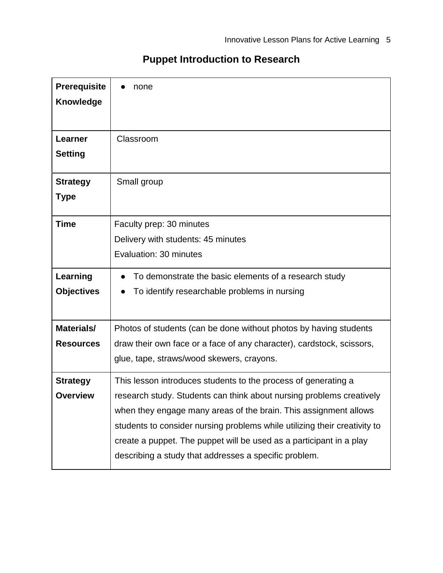| <b>Prerequisite</b> | none                                                                      |
|---------------------|---------------------------------------------------------------------------|
| <b>Knowledge</b>    |                                                                           |
|                     |                                                                           |
| Learner             | Classroom                                                                 |
| <b>Setting</b>      |                                                                           |
| <b>Strategy</b>     | Small group                                                               |
| <b>Type</b>         |                                                                           |
| <b>Time</b>         | Faculty prep: 30 minutes                                                  |
|                     | Delivery with students: 45 minutes                                        |
|                     | Evaluation: 30 minutes                                                    |
| Learning            | To demonstrate the basic elements of a research study                     |
| <b>Objectives</b>   | To identify researchable problems in nursing                              |
|                     |                                                                           |
| Materials/          | Photos of students (can be done without photos by having students         |
| <b>Resources</b>    | draw their own face or a face of any character), cardstock, scissors,     |
|                     | glue, tape, straws/wood skewers, crayons.                                 |
| <b>Strategy</b>     | This lesson introduces students to the process of generating a            |
| <b>Overview</b>     | research study. Students can think about nursing problems creatively      |
|                     | when they engage many areas of the brain. This assignment allows          |
|                     | students to consider nursing problems while utilizing their creativity to |
|                     | create a puppet. The puppet will be used as a participant in a play       |
|                     | describing a study that addresses a specific problem.                     |

## **Puppet Introduction to Research**